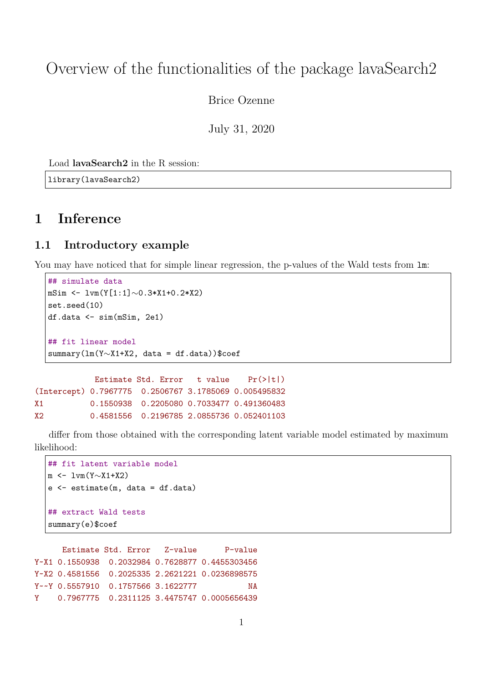# Overview of the functionalities of the package lavaSearch2

Brice Ozenne

July 31, 2020

Load **lavaSearch2** in the R session:

library(lavaSearch2)

# **1 Inference**

## **1.1 Introductory example**

You may have noticed that for simple linear regression, the p-values of the Wald tests from  $\text{Im}$ :

```
## simulate data
  mSim <- lvm(Y[1:1]∼0.3*X1+0.2*X2)
  set.seed(10)
  df.data \leq sim(mSim, 2e1)
  ## fit linear model
  summary(lm(Y∼X1+X2, data = df.data))$coef
            Estimate Std. Error t value Pr(>|t|)(Intercept) 0.7967775 0.2506767 3.1785069 0.005495832
X1 0.1550938 0.2205080 0.7033477 0.491360483
X2 0.4581556 0.2196785 2.0855736 0.052401103
```
differ from those obtained with the corresponding latent variable model estimated by maximum likelihood:

```
## fit latent variable model
m <- lvm(Y∼X1+X2)
e <- estimate(m, data = df.data)
## extract Wald tests
summary(e)$coef
```
Estimate Std. Error Z-value P-value Y~X1 0.1550938 0.2032984 0.7628877 0.4455303456 Y~X2 0.4581556 0.2025335 2.2621221 0.0236898575 Y~~Y 0.5557910 0.1757566 3.1622777 NA Y 0.7967775 0.2311125 3.4475747 0.0005656439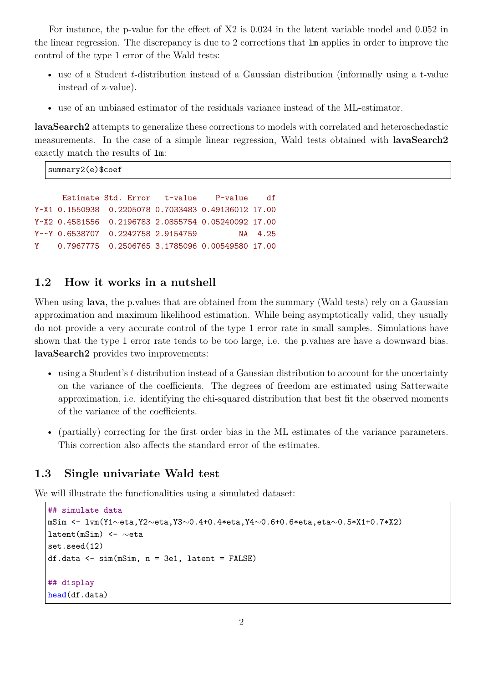For instance, the p-value for the effect of X2 is 0.024 in the latent variable model and 0.052 in the linear regression. The discrepancy is due to 2 corrections that lm applies in order to improve the control of the type 1 error of the Wald tests:

- use of a Student *t*-distribution instead of a Gaussian distribution (informally using a t-value instead of z-value).
- use of an unbiased estimator of the residuals variance instead of the ML-estimator.

**lavaSearch2** attempts to generalize these corrections to models with correlated and heteroschedastic measurements. In the case of a simple linear regression, Wald tests obtained with **lavaSearch2** exactly match the results of lm:

summary2(e)\$coef

```
Estimate Std. Error t-value P-value df
Y~X1 0.1550938 0.2205078 0.7033483 0.49136012 17.00
Y~X2 0.4581556 0.2196783 2.0855754 0.05240092 17.00
Y~~Y 0.6538707 0.2242758 2.9154759 NA 4.25
Y 0.7967775 0.2506765 3.1785096 0.00549580 17.00
```
## **1.2 How it works in a nutshell**

When using **lava**, the p.values that are obtained from the summary (Wald tests) rely on a Gaussian approximation and maximum likelihood estimation. While being asymptotically valid, they usually do not provide a very accurate control of the type 1 error rate in small samples. Simulations have shown that the type 1 error rate tends to be too large, i.e. the p.values are have a downward bias. **lavaSearch2** provides two improvements:

- using a Student's *t*-distribution instead of a Gaussian distribution to account for the uncertainty on the variance of the coefficients. The degrees of freedom are estimated using Satterwaite approximation, i.e. identifying the chi-squared distribution that best fit the observed moments of the variance of the coefficients.
- (partially) correcting for the first order bias in the ML estimates of the variance parameters. This correction also affects the standard error of the estimates.

### **1.3 Single univariate Wald test**

We will illustrate the functionalities using a simulated dataset:

```
## simulate data
mSim <- lvm(Y1∼eta,Y2∼eta,Y3∼0.4+0.4*eta,Y4∼0.6+0.6*eta,eta∼0.5*X1+0.7*X2)
latent(mSim) <- ∼eta
set.seed(12)
df.data <- sim(mSim, n = 3e1, latent = FALSE)
## display
head(df.data)
```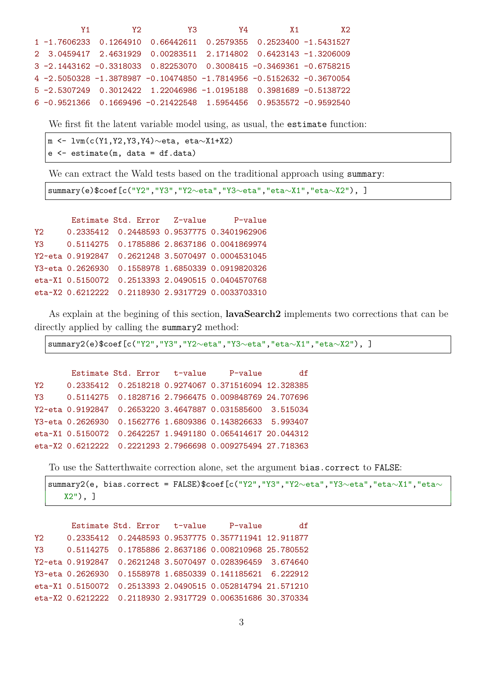|  | $V1$ and $V1$<br><b>Y2</b> |                                                                        | <b>Y3</b> | $Y4$ $X1$ | <b>X2</b> |
|--|----------------------------|------------------------------------------------------------------------|-----------|-----------|-----------|
|  |                            | 1 -1.7606233  0.1264910  0.66442611  0.2579355  0.2523400  -1.5431527  |           |           |           |
|  |                            | 2 3.0459417 2.4631929 0.00283511 2.1714802 0.6423143 -1.3206009        |           |           |           |
|  |                            | 3 -2.1443162 -0.3318033 0.82253070 0.3008415 -0.3469361 -0.6758215     |           |           |           |
|  |                            | 4 -2.5050328 -1.3878987 -0.10474850 -1.7814956 -0.5152632 -0.3670054   |           |           |           |
|  |                            | 5 -2.5307249  0.3012422  1.22046986  -1.0195188  0.3981689  -0.5138722 |           |           |           |
|  |                            | 6 -0.9521366  0.1669496 -0.21422548  1.5954456  0.9535572 -0.9592540   |           |           |           |

We first fit the latent variable model using, as usual, the estimate function:

|  | m <- $lvm(c(Y1, Y2, Y3, Y4) \sim eta$ , eta $\sim$ X1+X2) |  |
|--|-----------------------------------------------------------|--|
|  | $e \leftarrow$ estimate(m, data = df.data)                |  |

We can extract the Wald tests based on the traditional approach using summary:

summary(e)\$coef[c("Y2","Y3","Y2∼eta","Y3∼eta","eta∼X1","eta∼X2"), ]

|     | Estimate Std. Error Z-value | P-value                                           |
|-----|-----------------------------|---------------------------------------------------|
| Y2. |                             | 0.2335412  0.2448593  0.9537775  0.3401962906     |
| Y3. |                             |                                                   |
|     |                             | Y2~eta 0.9192847 0.2621248 3.5070497 0.0004531045 |
|     |                             | Y3~eta 0.2626930 0.1558978 1.6850339 0.0919820326 |
|     |                             | eta~X1 0.5150072 0.2513393 2.0490515 0.0404570768 |
|     |                             | eta~X2 0.6212222 0.2118930 2.9317729 0.0033703310 |

As explain at the begining of this section, **lavaSearch2** implements two corrections that can be directly applied by calling the summary2 method:

summary2(e)\$coef[c("Y2","Y3","Y2∼eta","Y3∼eta","eta∼X1","eta∼X2"), ]

```
Estimate Std. Error t-value P-value df
Y2 0.2335412 0.2518218 0.9274067 0.371516094 12.328385
Y3 0.5114275 0.1828716 2.7966475 0.009848769 24.707696
Y2~eta 0.9192847 0.2653220 3.4647887 0.031585600 3.515034
Y3~eta 0.2626930 0.1562776 1.6809386 0.143826633 5.993407
eta~X1 0.5150072 0.2642257 1.9491180 0.065414617 20.044312
eta~X2 0.6212222 0.2221293 2.7966698 0.009275494 27.718363
```
To use the Satterthwaite correction alone, set the argument bias.correct to FALSE:

```
summary2(e, bias.correct = FALSE)$coef[c("Y2","Y3","Y2~eta","Y3~eta","eta~X1","eta~
   X2"), ]
```

```
Estimate Std. Error t-value P-value df
Y2 0.2335412 0.2448593 0.9537775 0.357711941 12.911877
Y3 0.5114275 0.1785886 2.8637186 0.008210968 25.780552
Y2~eta 0.9192847 0.2621248 3.5070497 0.028396459 3.674640
Y3~eta 0.2626930 0.1558978 1.6850339 0.141185621 6.222912
eta~X1 0.5150072 0.2513393 2.0490515 0.052814794 21.571210
eta~X2 0.6212222 0.2118930 2.9317729 0.006351686 30.370334
```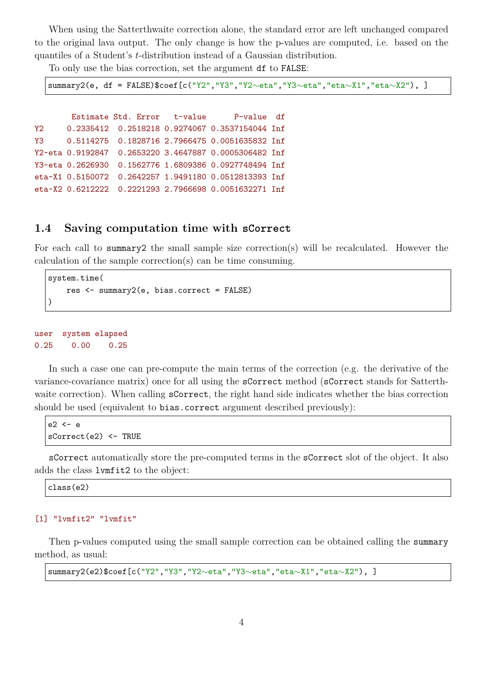When using the Satterthwaite correction alone, the standard error are left unchanged compared to the original lava output. The only change is how the p-values are computed, i.e. based on the quantiles of a Student's *t*-distribution instead of a Gaussian distribution.

To only use the bias correction, set the argument df to FALSE:

summary2(e, df = FALSE)\$coef[c("Y2","Y3","Y2~eta","Y3~eta","eta~X1","eta~X2"), ]

Estimate Std. Error t-value P-value df Y2 0.2335412 0.2518218 0.9274067 0.3537154044 Inf Y3 0.5114275 0.1828716 2.7966475 0.0051635832 Inf Y2~eta 0.9192847 0.2653220 3.4647887 0.0005306482 Inf Y3~eta 0.2626930 0.1562776 1.6809386 0.0927748494 Inf eta~X1 0.5150072 0.2642257 1.9491180 0.0512813393 Inf eta~X2 0.6212222 0.2221293 2.7966698 0.0051632271 Inf

### **1.4 Saving computation time with sCorrect**

For each call to summary2 the small sample size correction(s) will be recalculated. However the calculation of the sample correction(s) can be time consuming.

```
system.time(
   res <- summary2(e, bias.correct = FALSE)
)
```
user system elapsed 0.25 0.00 0.25

In such a case one can pre-compute the main terms of the correction (e.g. the derivative of the variance-covariance matrix) once for all using the sCorrect method (sCorrect stands for Satterthwaite correction). When calling sCorrect, the right hand side indicates whether the bias correction should be used (equivalent to bias.correct argument described previously):

```
e2 <- e
sCorrect(e2) <- TRUE
```
sCorrect automatically store the pre-computed terms in the sCorrect slot of the object. It also adds the class lvmfit2 to the object:

class(e2)

#### [1] "lvmfit2" "lvmfit"

Then p-values computed using the small sample correction can be obtained calling the summary method, as usual:

summary2(e2)\$coef[c("Y2","Y3","Y2∼eta","Y3∼eta","eta∼X1","eta∼X2"), ]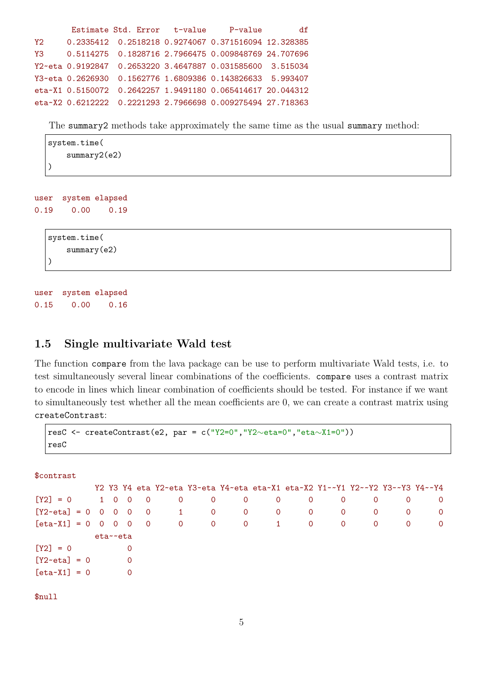```
Estimate Std. Error t-value P-value df
Y2 0.2335412 0.2518218 0.9274067 0.371516094 12.328385
Y3 0.5114275 0.1828716 2.7966475 0.009848769 24.707696
Y2~eta 0.9192847 0.2653220 3.4647887 0.031585600 3.515034
Y3~eta 0.2626930 0.1562776 1.6809386 0.143826633 5.993407
eta~X1 0.5150072 0.2642257 1.9491180 0.065414617 20.044312
eta~X2 0.6212222 0.2221293 2.7966698 0.009275494 27.718363
```
The summary2 methods take approximately the same time as the usual summary method:

```
system.time(
    summary2(e2)
)
```
user system elapsed 0.19 0.00 0.19

```
system.time(
    summary(e2)
)
```
user system elapsed 0.15 0.00 0.16

### **1.5 Single multivariate Wald test**

The function compare from the lava package can be use to perform multivariate Wald tests, i.e. to test simultaneously several linear combinations of the coefficients. compare uses a contrast matrix to encode in lines which linear combination of coefficients should be tested. For instance if we want to simultaneously test whether all the mean coefficients are 0, we can create a contrast matrix using createContrast:

```
resC <- createContrast(e2, par = c("Y2=0","Y2∼eta=0","eta∼X1=0"))
resC
```
\$contrast

| $\Omega$       | $\overline{0}$ |
|----------------|----------------|
|                |                |
| $\overline{0}$ | $\overline{0}$ |
| $\Omega$       | $\overline{0}$ |
|                |                |
|                |                |
|                |                |
|                |                |
|                |                |

\$null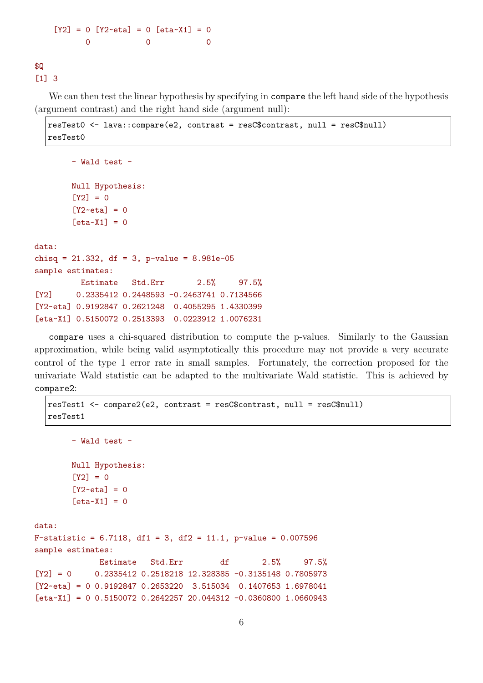$[Y2] = 0$   $[Y2 \text{ - eta}] = 0$   $[eta \text{ - X1}] = 0$ 0 0 0

\$Q [1] 3

We can then test the linear hypothesis by specifying in compare the left hand side of the hypothesis (argument contrast) and the right hand side (argument null):

```
resTest0 <- lava::compare(e2, contrast = resC$contrast, null = resC$null)
resTest0
```

```
- Wald test -
Null Hypothesis:
[Y2] = 0[Y2 \text{-} \text{eta}] = 0[eta \times X1] = 0
```
data: chisq = 21.332, df = 3, p-value = 8.981e-05 sample estimates: Estimate Std.Err 2.5% 97.5% [Y2] 0.2335412 0.2448593 -0.2463741 0.7134566 [Y2~eta] 0.9192847 0.2621248 0.4055295 1.4330399 [eta~X1] 0.5150072 0.2513393 0.0223912 1.0076231

compare uses a chi-squared distribution to compute the p-values. Similarly to the Gaussian approximation, while being valid asymptotically this procedure may not provide a very accurate control of the type 1 error rate in small samples. Fortunately, the correction proposed for the univariate Wald statistic can be adapted to the multivariate Wald statistic. This is achieved by compare2:

```
resTest1 <- compare2(e2, contrast = resC$contrast, null = resC$null)
   resTest1
        - Wald test -
        Null Hypothesis:
        [Y2] = 0[Y2 \sim \text{eta}] = 0[eta~X1] = 0data:
F-statistic = 6.7118, df1 = 3, df2 = 11.1, p-value = 0.007596sample estimates:
              Estimate Std.Err df 2.5% 97.5%
[Y2] = 0 0.2335412 0.2518218 12.328385 -0.3135148 0.7805973
[Y2 \text{ - eta}] = 0 0.9192847 0.2653220 3.515034 0.1407653 1.6978041[eta-X1] = 0 0.5150072 0.2642257 20.044312 -0.0360800 1.0660943
```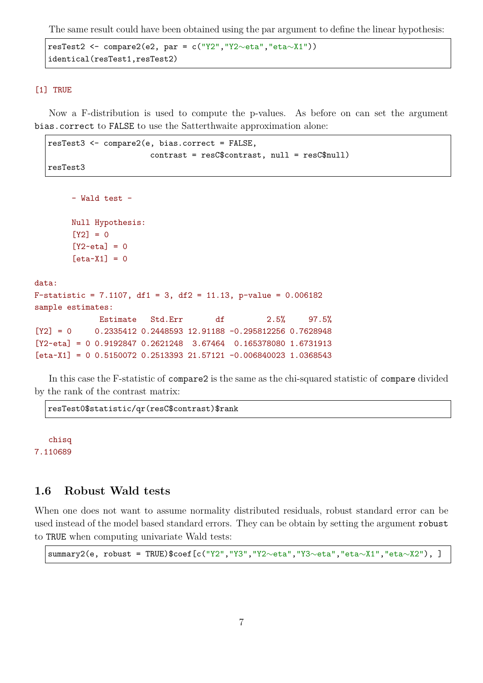The same result could have been obtained using the par argument to define the linear hypothesis:

```
resTest2 <- compare2(e2, par = c("Y2","Y2∼eta","eta∼X1"))
identical(resTest1,resTest2)
```
#### [1] TRUE

Now a F-distribution is used to compute the p-values. As before on can set the argument bias.correct to FALSE to use the Satterthwaite approximation alone:

```
resTest3 <- compare2(e, bias.correct = FALSE,
                      contrast = resC$contrast, null = resC$null)
resTest3
```

```
- Wald test -
       Null Hypothesis:
        [Y2] = 0[Y2 \text{-} \text{eta}] = 0[eta \times X1] = 0data:
F-statistic = 7.1107, df1 = 3, df2 = 11.13, p-value = 0.006182sample estimates:
             Estimate Std.Err df 2.5% 97.5%
[Y2] = 0 0.2335412 0.2448593 12.91188 -0.295812256 0.7628948
[Y2~eta] = 0 0.9192847 0.2621248 3.67464 0.165378080 1.6731913
[eta-X1] = 0 0.5150072 0.2513393 21.57121 -0.006840023 1.0368543
```
In this case the F-statistic of compare2 is the same as the chi-squared statistic of compare divided by the rank of the contrast matrix:

resTest0\$statistic/qr(resC\$contrast)\$rank

chisq 7.110689

### **1.6 Robust Wald tests**

When one does not want to assume normality distributed residuals, robust standard error can be used instead of the model based standard errors. They can be obtain by setting the argument robust to TRUE when computing univariate Wald tests:

summary2(e, robust = TRUE)\$coef[c("Y2","Y3","Y2∼eta","Y3∼eta","eta∼X1","eta∼X2"), ]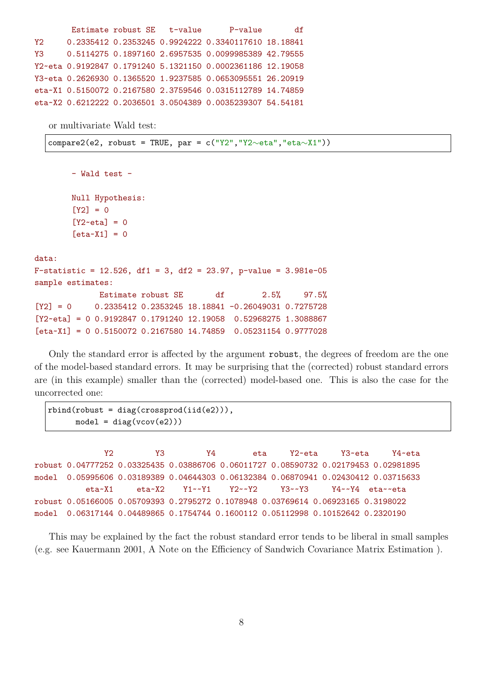```
Estimate robust SE t-value P-value df
Y2 0.2335412 0.2353245 0.9924222 0.3340117610 18.18841
Y3 0.5114275 0.1897160 2.6957535 0.0099985389 42.79555
Y2~eta 0.9192847 0.1791240 5.1321150 0.0002361186 12.19058
Y3~eta 0.2626930 0.1365520 1.9237585 0.0653095551 26.20919
eta~X1 0.5150072 0.2167580 2.3759546 0.0315112789 14.74859
eta~X2 0.6212222 0.2036501 3.0504389 0.0035239307 54.54181
```
or multivariate Wald test:

compare2(e2, robust = TRUE, par = c("Y2","Y2∼eta","eta∼X1"))

- Wald test - Null Hypothesis:  $[Y2] = 0$  $[Y2 \sim \text{eta}] = 0$  $[eta \times X1] = 0$ data: F-statistic = 12.526, df1 = 3, df2 = 23.97, p-value = 3.981e-05 sample estimates: Estimate robust SE df 2.5% 97.5%  $[Y2] = 0$  0.2335412 0.2353245 18.18841 -0.26049031 0.7275728  $[Y2 \text{ - eta}] = 0 0.9192847 0.1791240 12.19058 0.52968275 1.3088867$ [eta~X1] = 0 0.5150072 0.2167580 14.74859 0.05231154 0.9777028

Only the standard error is affected by the argument robust, the degrees of freedom are the one of the model-based standard errors. It may be surprising that the (corrected) robust standard errors are (in this example) smaller than the (corrected) model-based one. This is also the case for the uncorrected one:

```
rbind(robust = diag(crossprod(iid(e2))),
     model = diag(vcov(e2)))
```
Y2 Y3 Y4 eta Y2~eta Y3~eta Y4~eta robust 0.04777252 0.03325435 0.03886706 0.06011727 0.08590732 0.02179453 0.02981895 model 0.05995606 0.03189389 0.04644303 0.06132384 0.06870941 0.02430412 0.03715633 eta~X1 eta~X2 Y1~~Y1 Y2~~Y2 Y3~~Y3 Y4~~Y4 eta~~eta robust 0.05166005 0.05709393 0.2795272 0.1078948 0.03769614 0.06923165 0.3198022 model 0.06317144 0.04489865 0.1754744 0.1600112 0.05112998 0.10152642 0.2320190

This may be explained by the fact the robust standard error tends to be liberal in small samples (e.g. see Kauermann 2001, A Note on the Efficiency of Sandwich Covariance Matrix Estimation ).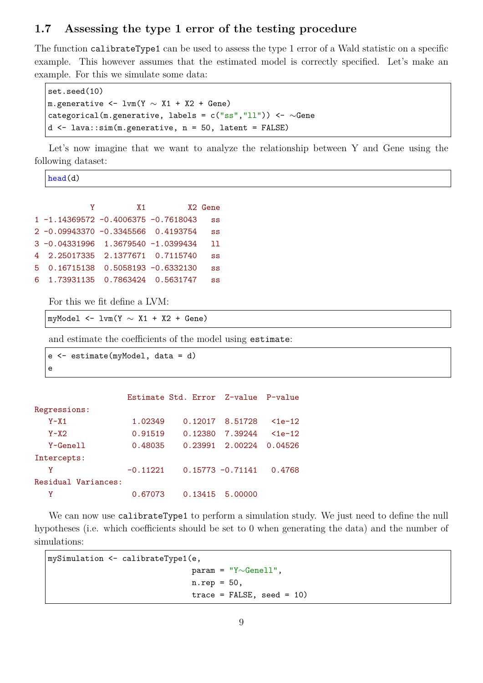## **1.7 Assessing the type 1 error of the testing procedure**

The function calibrateType1 can be used to assess the type 1 error of a Wald statistic on a specific example. This however assumes that the estimated model is correctly specified. Let's make an example. For this we simulate some data:

```
set.seed(10)
m.generative <- lvm(Y \sim X1 + X2 + Gene)
categorical(m.generative, labels = c("ss", "ll")) <- ~Gene
d \leq - lava::\sin(m.\text{generic}, n = 50, \text{latent} = \text{FALSE})
```
Let's now imagine that we want to analyze the relationship between Y and Gene using the following dataset:

head(d)

e

| X <sub>2</sub> Gene | X 1                                   |                                         |    |
|---------------------|---------------------------------------|-----------------------------------------|----|
| SS                  |                                       | 1 -1.14369572 -0.4006375 -0.7618043     |    |
| SS                  |                                       | 2 -0.09943370 -0.3345566 0.4193754      |    |
| ו ו                 |                                       | $3 - 0.04331996$ 1.3679540 $-1.0399434$ |    |
| SS                  |                                       | 4 2.25017335 2.1377671 0.7115740        |    |
| SS                  | $0.16715138$ $0.5058193$ $-0.6332130$ |                                         | .5 |
| SS                  | 1.73931135   0.7863424   0.5631747    |                                         | 6  |

For this we fit define a LVM:

myModel  $\le$  lvm(Y  $\sim$  X1 + X2 + Gene)

and estimate the coefficients of the model using estimate:

```
e <- estimate(myModel, data = d)
```

|                     |            | Estimate Std. Error Z-value P-value |                     |              |
|---------------------|------------|-------------------------------------|---------------------|--------------|
| Regressions:        |            |                                     |                     |              |
| $Y - X1$            | 1.02349    |                                     | 0.12017 8.51728     | $\leq$ 1e-12 |
| $Y \sim X$ 2        | 0.91519    | 0.12380                             | 7.39244             | $\leq$ 1e-12 |
| $Y \sim$ Genell     | 0.48035    |                                     | 0.23991 2.00224     | 0.04526      |
| Intercepts:         |            |                                     |                     |              |
| γ                   | $-0.11221$ |                                     | $0.15773 - 0.71141$ | 0.4768       |
| Residual Variances: |            |                                     |                     |              |
| γ                   | 0.67073    |                                     | 0.13415 5.00000     |              |

We can now use calibrateType1 to perform a simulation study. We just need to define the null hypotheses (i.e. which coefficients should be set to 0 when generating the data) and the number of simulations:

```
mySimulation <- calibrateType1(e,
                               param = "Y∼Genell",
                               n.rep = 50,
                               trace = FALSE, seed = 10)
```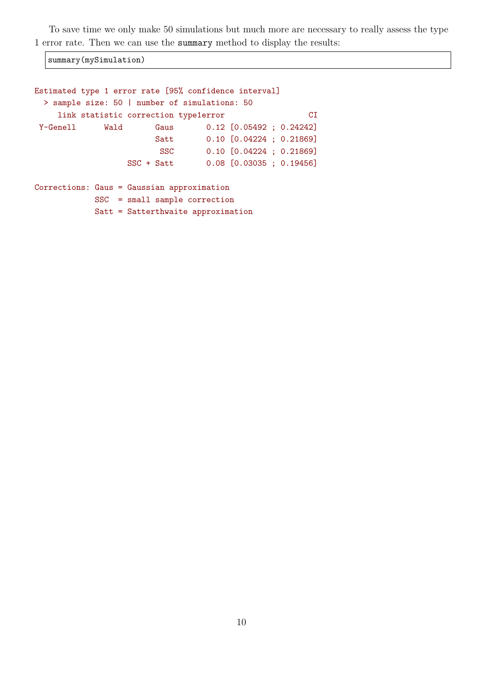To save time we only make 50 simulations but much more are necessary to really assess the type 1 error rate. Then we can use the summary method to display the results:

summary(mySimulation)

```
Estimated type 1 error rate [95% confidence interval]
 > sample size: 50 | number of simulations: 50
    link statistic correction type1error CI
Y~Genell Wald Gaus 0.12 [0.05492 ; 0.24242]
                       Satt 0.10 [0.04224 ; 0.21869]
                       SSC 0.10 [0.04224 ; 0.21869]
                 SSC + Satt 0.08 [0.03035 ; 0.19456]
Corrections: Gaus = Gaussian approximation
           SSC = small sample correction
           Satt = Satterthwaite approximation
```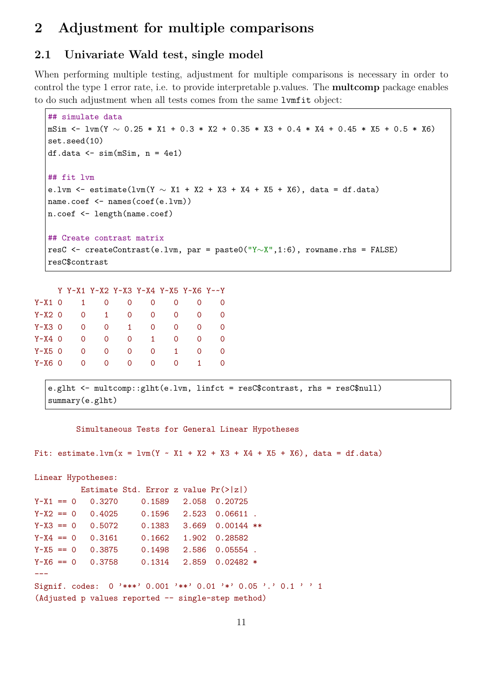# **2 Adjustment for multiple comparisons**

# **2.1 Univariate Wald test, single model**

When performing multiple testing, adjustment for multiple comparisons is necessary in order to control the type 1 error rate, i.e. to provide interpretable p.values. The **multcomp** package enables to do such adjustment when all tests comes from the same lvmfit object:

```
## simulate data
mSim <- lvm(Y ∼ 0.25 * X1 + 0.3 * X2 + 0.35 * X3 + 0.4 * X4 + 0.45 * X5 + 0.5 * X6)
set.seed(10)
df.data \leq sim(mSim, n = 4e1)
## fit lvm
e.lvm <- estimate(lvm(Y \sim X1 + X2 + X3 + X4 + X5 + X6), data = df.data)
name.coef <- names(coef(e.lvm))
n.coef <- length(name.coef)
## Create contrast matrix
resC <- createContrast(e.lvm, par = paste0("Y∼X",1:6), rowname.rhs = FALSE)
resC$contrast
```

|            |           | Y Y~X1 Y~X2 Y~X3 Y~X4 Y~X5 Y~X6 Y~~Y |              |              |          |    |          |
|------------|-----------|--------------------------------------|--------------|--------------|----------|----|----------|
| $Y - X1$ 0 | $1 \quad$ | 0                                    | 0            | 0            | 0        | 0  | $\Omega$ |
| $Y - X2$ 0 | 0         | $\mathbf{1}$                         | 0            | 0            | 0        | 0  | 0        |
| $Y - X3$ 0 | 0         | 0                                    | $\mathbf{1}$ | 0            | $\Omega$ | 0  | 0        |
| $Y - X4$ 0 | 0         | 0                                    | 0            | $\mathbf{1}$ | 0        | 0  | 0        |
| Y~X5 0     | 0         | 0                                    | 0            | 0            | 1.       | 0  | 0        |
| Y~X6 0     | $\Omega$  | 0                                    | $\Omega$     | 0            | $\Omega$ | 1. | $\Omega$ |
|            |           |                                      |              |              |          |    |          |

```
e.glht <- multcomp::glht(e.lvm, linfct = resC$contrast, rhs = resC$null)
summary(e.glht)
```
Simultaneous Tests for General Linear Hypotheses

Fit: estimate.lvm(x = lvm(Y ~ X1 + X2 + X3 + X4 + X5 + X6), data = df.data)

```
Linear Hypotheses:
        Estimate Std. Error z value Pr(>|z|)
Y-X1 = 0 0.3270 0.1589 2.058 0.20725
Y-X2 = 0 0.4025 0.1596 2.523 0.06611.
Y~X3 = 0 0.5072 0.1383 3.669 0.00144 **
Y - X4 = 0 0.3161 0.1662 1.902 0.28582
Y~X5 = 0 0.3875 0.1498 2.586 0.05554.
Y - X6 = 0 0.3758 0.1314 2.859 0.02482 *
---
Signif. codes: 0 '***' 0.001 '**' 0.01 '*' 0.05 '.' 0.1 ' ' 1
(Adjusted p values reported -- single-step method)
```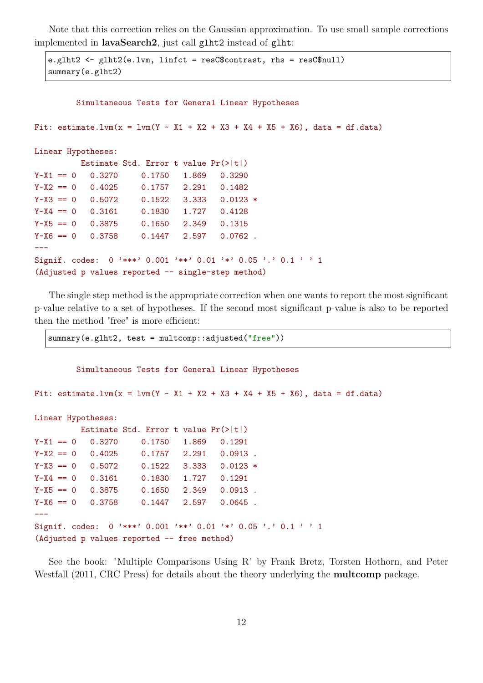Note that this correction relies on the Gaussian approximation. To use small sample corrections implemented in **lavaSearch2**, just call glht2 instead of glht:

```
e.glht2 <- glht2(e.lvm, linfct = resC$contrast, rhs = resC$null)
summary(e.glht2)
```

```
Simultaneous Tests for General Linear Hypotheses
```
Fit: estimate.lvm(x = lvm(Y ~ X1 + X2 + X3 + X4 + X5 + X6), data = df.data)

```
Linear Hypotheses:
```

|                                                                 |  |  |        | Estimate Std. Error t value $Pr(>\vert t \vert)$   |  |       |            |  |  |  |
|-----------------------------------------------------------------|--|--|--------|----------------------------------------------------|--|-------|------------|--|--|--|
| $Y - X1 == 0$                                                   |  |  | 0.3270 | 0.1750                                             |  | 1.869 | 0.3290     |  |  |  |
| $Y - X2 = 0$                                                    |  |  | 0.4025 | 0.1757                                             |  | 2.291 | 0.1482     |  |  |  |
| $Y - X3 == 0$                                                   |  |  | 0.5072 | 0.1522                                             |  | 3.333 | $0.0123$ * |  |  |  |
| $Y - X4 == 0$                                                   |  |  | 0.3161 | 0.1830                                             |  | 1.727 | 0.4128     |  |  |  |
| $Y - X5 == 0$                                                   |  |  | 0.3875 | 0.1650                                             |  | 2.349 | 0.1315     |  |  |  |
| $Y - X6 == 0$                                                   |  |  | 0.3758 | 0.1447                                             |  | 2.597 | $0.0762$ . |  |  |  |
|                                                                 |  |  |        |                                                    |  |       |            |  |  |  |
| Signif. codes: $0$ '***' 0.001 '**' 0.01 '*' 0.05 '.' 0.1 ' ' 1 |  |  |        |                                                    |  |       |            |  |  |  |
|                                                                 |  |  |        | (Adjusted p values reported -- single-step method) |  |       |            |  |  |  |

The single step method is the appropriate correction when one wants to report the most significant p-value relative to a set of hypotheses. If the second most significant p-value is also to be reported then the method "free" is more efficient:

summary(e.glht2, test = multcomp::adjusted("free"))

Simultaneous Tests for General Linear Hypotheses

Fit: estimate.lvm(x =  $lvm(x - x1 + x2 + x3 + x4 + x5 + x6)$ , data = df.data)

```
Linear Hypotheses:
```

|               |        | Estimate Std. Error t value $Pr(>\vert t \vert)$              |       |                    |  |  |
|---------------|--------|---------------------------------------------------------------|-------|--------------------|--|--|
| $Y - X1 == 0$ | 0.3270 | 0.1750                                                        | 1.869 | 0.1291             |  |  |
| $Y - X2 = 0$  | 0.4025 | 0.1757                                                        | 2.291 | $0.0913$ .         |  |  |
| $Y - X3 == 0$ | 0.5072 | 0.1522                                                        |       | $3.333$ 0.0123 $*$ |  |  |
| $Y - X4 = 0$  | 0.3161 | 0.1830                                                        | 1.727 | 0.1291             |  |  |
| $Y - X5 == 0$ | 0.3875 | 0.1650                                                        | 2.349 | $0.0913$ .         |  |  |
| $Y - X6 = 0$  | 0.3758 | 0.1447                                                        | 2.597 | $0.0645$ .         |  |  |
|               |        |                                                               |       |                    |  |  |
|               |        | Signif. codes: 0 '***' 0.001 '**' 0.01 '*' 0.05 '.' 0.1 ' ' 1 |       |                    |  |  |
|               |        | (Adjusted p values reported -- free method)                   |       |                    |  |  |

See the book: "Multiple Comparisons Using R" by Frank Bretz, Torsten Hothorn, and Peter Westfall (2011, CRC Press) for details about the theory underlying the **multcomp** package.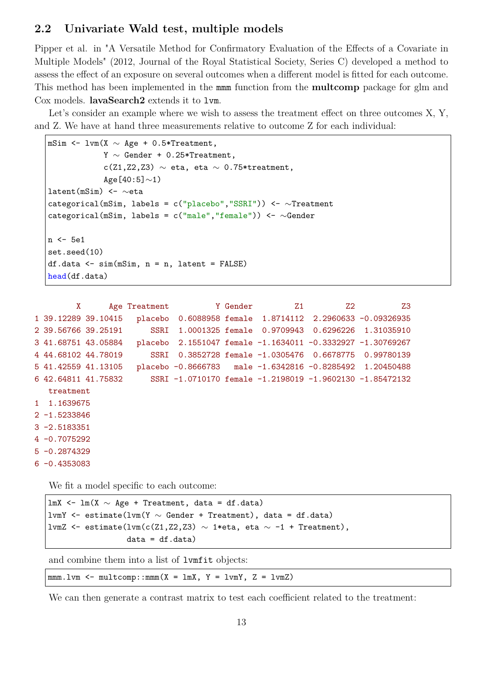### **2.2 Univariate Wald test, multiple models**

Pipper et al. in "A Versatile Method for Confirmatory Evaluation of the Effects of a Covariate in Multiple Models" (2012, Journal of the Royal Statistical Society, Series C) developed a method to assess the effect of an exposure on several outcomes when a different model is fitted for each outcome. This method has been implemented in the mmm function from the **multcomp** package for glm and Cox models. **lavaSearch2** extends it to lvm.

Let's consider an example where we wish to assess the treatment effect on three outcomes X, Y, and Z. We have at hand three measurements relative to outcome Z for each individual:

```
mSim <- lvm(X \sim Age + 0.5*Treatment,Y ∼ Gender + 0.25*Treatment,
            c(Z1,Z2,Z3) \sim eta, eta \sim 0.75*treatment,
            Age [40:5]\sim1)
latent(mSim) <- ∼eta
categorical(mSim, labels = c("placebo","SSRI")) <- \simTreatment
categorical(mSim, labels = c("male","female")) <- \simGender
n <- 5e1
set.seed(10)
df.data <- sim(mSim, n = n, latent = FALSE)
head(df.data)
```

```
X Age Treatment Y Gender 21 22 Z3
1 39.12289 39.10415 placebo 0.6088958 female 1.8714112 2.2960633 -0.09326935
2 39.56766 39.25191 SSRI 1.0001325 female 0.9709943 0.6296226 1.31035910
3 41.68751 43.05884 placebo 2.1551047 female -1.1634011 -0.3332927 -1.30769267
4 44.68102 44.78019 SSRI 0.3852728 female -1.0305476 0.6678775 0.99780139
5 41.42559 41.13105 placebo -0.8666783 male -1.6342816 -0.8285492 1.20450488
6 42.64811 41.75832 SSRI -1.0710170 female -1.2198019 -1.9602130 -1.85472132
  treatment
1 1.1639675
2 -1.5233846
3 -2.5183351
4 -0.7075292
5 -0.2874329
6 -0.4353083
```
We fit a model specific to each outcome:

lmX <- lm(X ∼ Age + Treatment, data = df.data) lvmY <- estimate(lvm(Y ∼ Gender + Treatment), data = df.data) lvmZ <- estimate(lvm(c(Z1,Z2,Z3)  $\sim$  1\*eta, eta  $\sim$  -1 + Treatment),  $data = df.data)$ 

and combine them into a list of lvmfit objects:

 $mmm.1vm < -$  multcomp::mmm(X = lmX, Y = lvmY, Z = lvmZ)

We can then generate a contrast matrix to test each coefficient related to the treatment: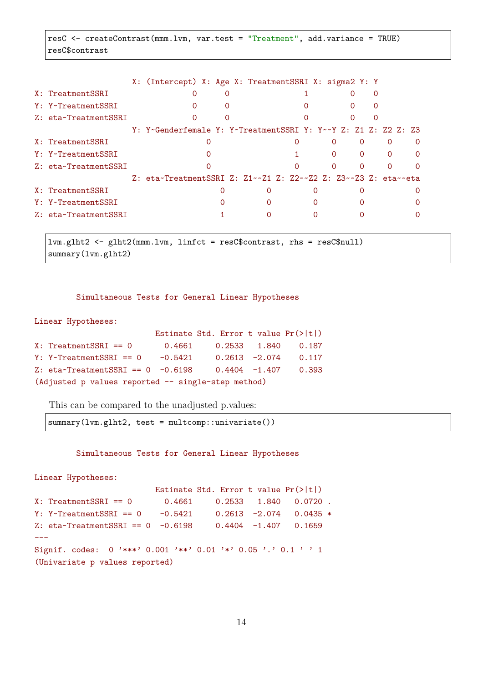resC <- createContrast(mmm.lvm, var.test = "Treatment", add.variance = TRUE) resC\$contrast

|                         | X: (Intercept) X: Age X: TreatmentSSRI X: sigma2 Y: Y          |  |   |   |          |          |  |  |
|-------------------------|----------------------------------------------------------------|--|---|---|----------|----------|--|--|
| X: TreatmentSSRI        | 0                                                              |  |   |   |          | Ω        |  |  |
| Y: Y~TreatmentSSRI      | $\Omega$                                                       |  |   |   |          | $\Omega$ |  |  |
| Z: eta~TreatmentSSRI    |                                                                |  |   |   |          |          |  |  |
|                         | Y: Y~Genderfemale Y: Y~TreatmentSSRI Y: Y~~Y Z: Z1 Z: Z2 Z: Z3 |  |   |   |          |          |  |  |
| X: TreatmentSSRI        |                                                                |  |   |   |          | $\Omega$ |  |  |
| Y: Y~TreatmentSSRI      |                                                                |  |   |   | $\Omega$ | $\Omega$ |  |  |
| $Z$ : eta~TreatmentSSRI |                                                                |  |   |   |          |          |  |  |
|                         | Z: eta~TreatmentSSRI Z: Z1~~Z1 Z: Z2~~Z2 Z: Z3~~Z3 Z: eta~~eta |  |   |   |          |          |  |  |
| X: TreatmentSSRI        |                                                                |  |   |   |          |          |  |  |
| Y: Y~TreatmentSSRI      |                                                                |  | 0 | Ω |          |          |  |  |
| Z: eta~TreatmentSSRI    |                                                                |  |   |   |          |          |  |  |
|                         |                                                                |  |   |   |          |          |  |  |

lvm.glht2 <- glht2(mmm.lvm, linfct = resC\$contrast, rhs = resC\$null) summary(lvm.glht2)

Simultaneous Tests for General Linear Hypotheses

Linear Hypotheses:

|                                                    |           | Estimate Std. Error t value $Pr(>\vert t \vert)$ |  |                         |  |  |  |  |
|----------------------------------------------------|-----------|--------------------------------------------------|--|-------------------------|--|--|--|--|
| $X: Treatments SRI == 0$                           | 0.4661    |                                                  |  | 0.2533 1.840 0.187      |  |  |  |  |
| $Y: Y~Treatments SRI == 0$                         | $-0.5421$ |                                                  |  | $0.2613 -2.074$ 0.117   |  |  |  |  |
| $Z:$ eta~TreatmentSSRI == 0 -0.6198                |           |                                                  |  | $0.4404$ $-1.407$ 0.393 |  |  |  |  |
| (Adjusted p values reported -- single-step method) |           |                                                  |  |                         |  |  |  |  |

This can be compared to the unadjusted p.values:

summary(lvm.glht2, test = multcomp::univariate())

Simultaneous Tests for General Linear Hypotheses

```
Linear Hypotheses:
                       Estimate Std. Error t value Pr(>|t|)
X: Treatments SRI == 0 0.4661 0.2533 1.840 0.0720.
Y: Y~TreatmentSSRI == 0 -0.5421 0.2613 -2.074 0.0435 *
Z: eta~TreatmentSSRI == 0 -0.6198 0.4404 -1.407 0.1659
---
Signif. codes: 0 '***' 0.001 '**' 0.01 '*' 0.05 '.' 0.1 ' ' 1
(Univariate p values reported)
```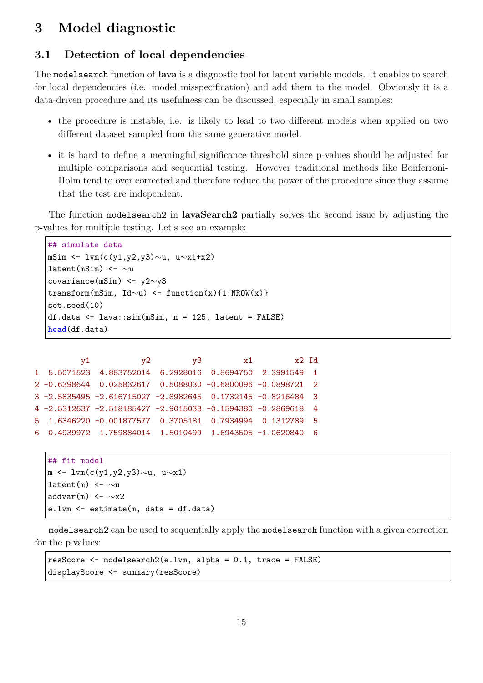# **3 Model diagnostic**

## **3.1 Detection of local dependencies**

The modelsearch function of **lava** is a diagnostic tool for latent variable models. It enables to search for local dependencies (i.e. model misspecification) and add them to the model. Obviously it is a data-driven procedure and its usefulness can be discussed, especially in small samples:

- the procedure is instable, i.e. is likely to lead to two different models when applied on two different dataset sampled from the same generative model.
- it is hard to define a meaningful significance threshold since p-values should be adjusted for multiple comparisons and sequential testing. However traditional methods like Bonferroni-Holm tend to over corrected and therefore reduce the power of the procedure since they assume that the test are independent.

The function modelsearch2 in **lavaSearch2** partially solves the second issue by adjusting the p-values for multiple testing. Let's see an example:

```
## simulate data
mSim <- lvm(c(y1,y2,y3)∼u, u∼x1+x2)
latent(mSim) <- \sim ucovariance(mSim) <- y2∼y3
transform(mSim, Id~u) <- function(x){1:NROW(x)}
set.seed(10)
df.data <- lava::sim(mSim, n = 125, latent = FALSE)
head(df.data)
```

```
y1 y2 y3 x1 x2 Id
1 5.5071523 4.883752014 6.2928016 0.8694750 2.3991549 1
2 -0.6398644 0.025832617 0.5088030 -0.6800096 -0.0898721 2
3 -2.5835495 -2.616715027 -2.8982645 0.1732145 -0.8216484 3
4 -2.5312637 -2.518185427 -2.9015033 -0.1594380 -0.2869618 4
5 1.6346220 -0.001877577 0.3705181 0.7934994 0.1312789 5
6 0.4939972 1.759884014 1.5010499 1.6943505 -1.0620840 6
```

```
## fit model
m <- lvm(c(y1,y2,y3)∼u, u∼x1)
latent(m) <- \sim uaddvar(m) <- ~x2
e.lvm <- estimate(m, data = df.data)
```
modelsearch2 can be used to sequentially apply the modelsearch function with a given correction for the p.values:

```
resScore <- modelsearch2(e.lvm, alpha = 0.1, trace = FALSE)
displayScore <- summary(resScore)
```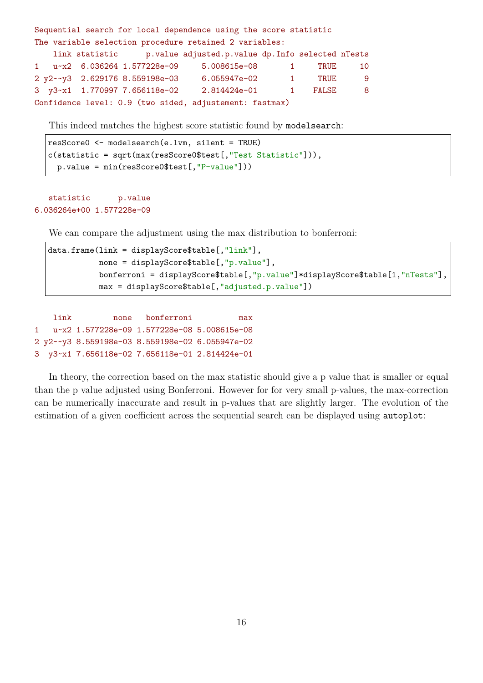Sequential search for local dependence using the score statistic The variable selection procedure retained 2 variables: link statistic p.value adjusted.p.value dp.Info selected nTests 1 u~x2 6.036264 1.577228e-09 5.008615e-08 1 TRUE 10 2 y2~~y3 2.629176 8.559198e-03 6.055947e-02 1 TRUE 9 3 y3~x1 1.770997 7.656118e-02 2.814424e-01 1 FALSE 8 Confidence level: 0.9 (two sided, adjustement: fastmax)

This indeed matches the highest score statistic found by modelsearch:

```
resScore0 <- modelsearch(e.lvm, silent = TRUE)
c(statistic = sqrt(max(resScore0$test[,"Test Statistic"])),
 p.value = min(resScore0$test[,"P-value"]))
```
### statistic p.value 6.036264e+00 1.577228e-09

We can compare the adjustment using the max distribution to bonferroni:

```
data.frame(link = displayScore$table[,"link"],
          none = displayScore$table[,"p.value"],
          bonferroni = displayScore$table[,"p.value"]*displayScore$table[1,"nTests"],
          max = displayScore$table[,"adjusted.p.value"])
```
link none bonferroni max 1 u~x2 1.577228e-09 1.577228e-08 5.008615e-08 2 y2~~y3 8.559198e-03 8.559198e-02 6.055947e-02 3 y3~x1 7.656118e-02 7.656118e-01 2.814424e-01

In theory, the correction based on the max statistic should give a p value that is smaller or equal than the p value adjusted using Bonferroni. However for for very small p-values, the max-correction can be numerically inaccurate and result in p-values that are slightly larger. The evolution of the estimation of a given coefficient across the sequential search can be displayed using autoplot: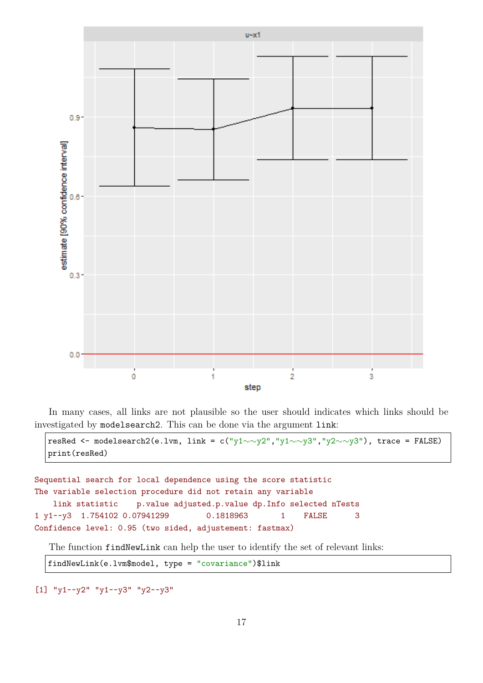

In many cases, all links are not plausible so the user should indicates which links should be investigated by modelsearch2. This can be done via the argument link:

```
resRed <- modelsearch2(e.lvm, link = c("y1∼∼y2","y1∼∼y3","y2∼∼y3"), trace = FALSE)
print(resRed)
```

```
Sequential search for local dependence using the score statistic
The variable selection procedure did not retain any variable
   link statistic p.value adjusted.p.value dp.Info selected nTests
1 y1~~y3 1.754102 0.07941299 0.1818963 1 FALSE 3
Confidence level: 0.95 (two sided, adjustement: fastmax)
```
The function findNewLink can help the user to identify the set of relevant links:

findNewLink(e.lvm\$model, type = "covariance")\$link

[1] "y1~~y2" "y1~~y3" "y2~~y3"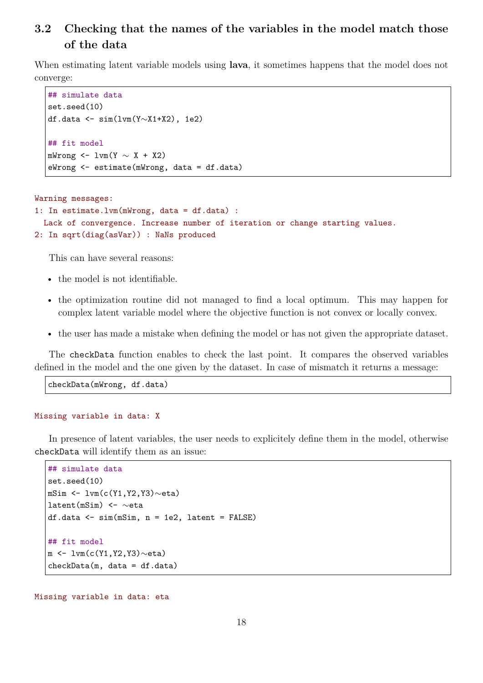## **3.2 Checking that the names of the variables in the model match those of the data**

When estimating latent variable models using **lava**, it sometimes happens that the model does not converge:

```
## simulate data
set.seed(10)
df.data <- sim(lvm(Y∼X1+X2), 1e2)
## fit model
mWrong \leftarrow lvm(Y \sim X + X2)
eWrong <- estimate(mWrong, data = df.data)
```

```
Warning messages:
1: In estimate.lvm(mWrong, data = df.data) :
  Lack of convergence. Increase number of iteration or change starting values.
```

```
2: In sqrt(diag(asVar)) : NaNs produced
```
This can have several reasons:

- the model is not identifiable.
- the optimization routine did not managed to find a local optimum. This may happen for complex latent variable model where the objective function is not convex or locally convex.
- the user has made a mistake when defining the model or has not given the appropriate dataset.

The checkData function enables to check the last point. It compares the observed variables defined in the model and the one given by the dataset. In case of mismatch it returns a message:

checkData(mWrong, df.data)

#### Missing variable in data: X

In presence of latent variables, the user needs to explicitely define them in the model, otherwise checkData will identify them as an issue:

```
## simulate data
set.seed(10)
mSim <- lvm(c(Y1,Y2,Y3)∼eta)
latent(mSim) <- ∼eta
df.data <- sim(mSim, n = 1e2, latent = FALSE)
## fit model
m <- lvm(c(Y1,Y2,Y3)∼eta)
checkData(m, data = df.data)
```
Missing variable in data: eta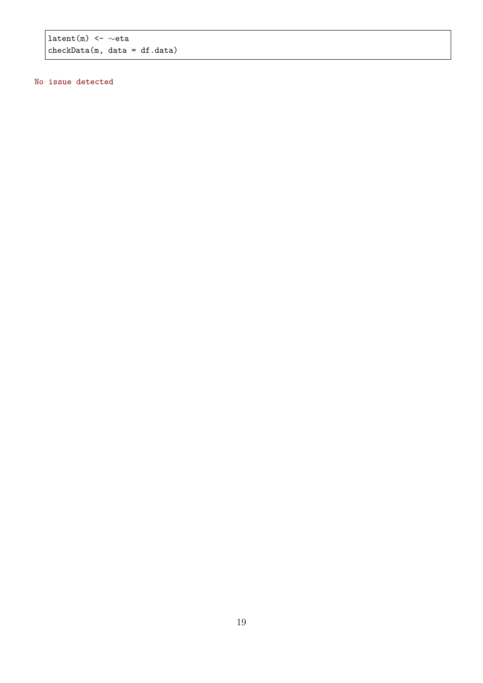latent(m) <- ∼eta checkData(m, data = df.data)

### No issue detected